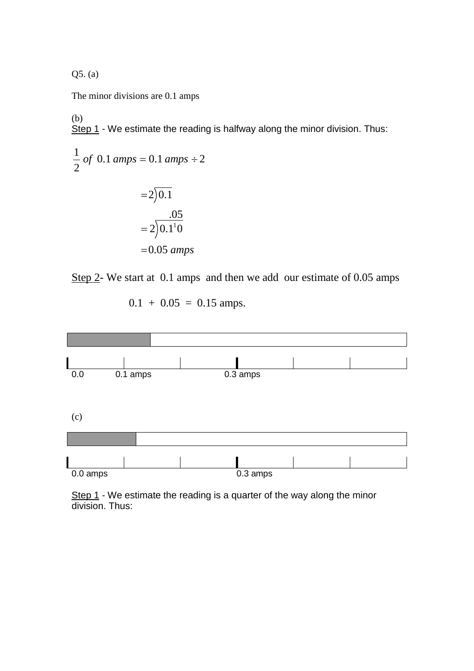Q5. (a)

The minor divisions are 0.1 amps

(b) Step 1 - We estimate the reading is halfway along the minor division. Thus:

$$
\frac{1}{2} \text{ of } 0.1 \text{ amps} = 0.1 \text{ amps} \div 2
$$

$$
= 2\overline{)0.1}
$$

$$
= 2\overline{)0.1}^{0.05}
$$

$$
= 2\overline{)0.1}^{10}
$$

$$
= 0.05 \text{ amps}
$$

Step 2- We start at 0.1 amps and then we add our estimate of 0.05 amps

$$
0.1 + 0.05 = 0.15 \text{amps.}
$$



Step 1 - We estimate the reading is a quarter of the way along the minor division. Thus: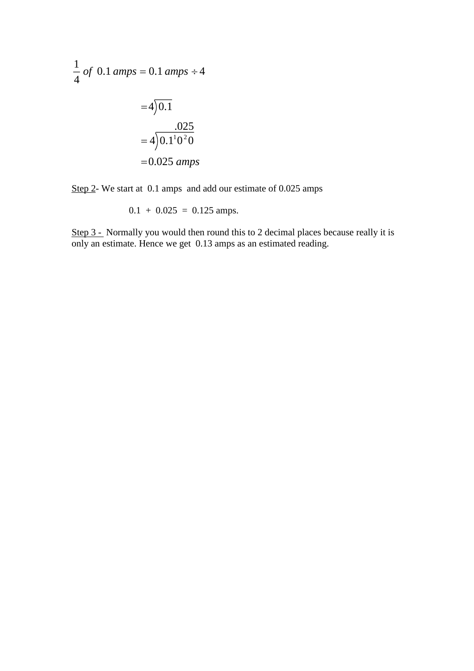$$
\frac{1}{4} \text{ of } 0.1 \text{ amps} = 0.1 \text{ amps} \div 4
$$

$$
= 4\sqrt{0.1}
$$

$$
= 4\sqrt{0.1^1 0^2 0}
$$

$$
= 0.025 \text{ amps}
$$

Step 2- We start at 0.1 amps and add our estimate of 0.025 amps

$$
0.1 + 0.025 = 0.125 \text{ amps.}
$$

Step 3 - Normally you would then round this to 2 decimal places because really it is only an estimate. Hence we get 0.13 amps as an estimated reading.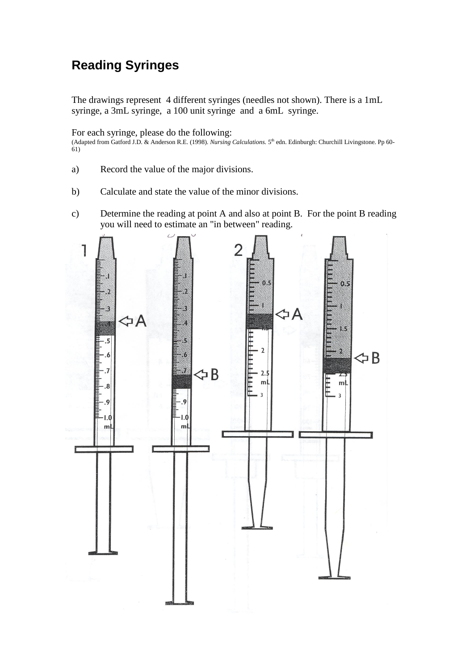## **Reading Syringes**

The drawings represent 4 different syringes (needles not shown). There is a 1mL syringe, a 3mL syringe, a 100 unit syringe and a 6mL syringe.

For each syringe, please do the following:

(Adapted from Gatford J.D. & Anderson R.E. (1998). *Nursing Calculations*. 5<sup>th</sup> edn. Edinburgh: Churchill Livingstone. Pp 60-61)

- a) Record the value of the major divisions.
- b) Calculate and state the value of the minor divisions.
- c) Determine the reading at point A and also at point B. For the point B reading you will need to estimate an "in between" reading.